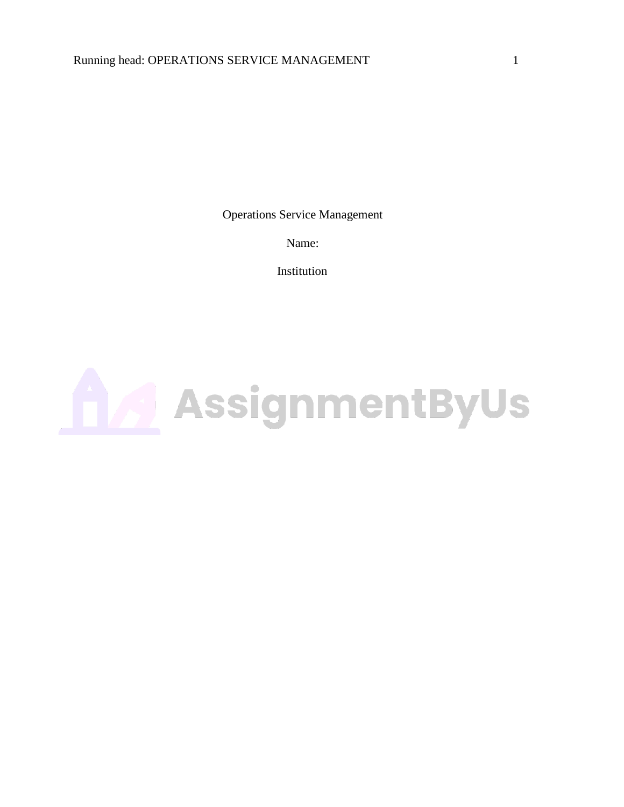Operations Service Management

Name:

Institution

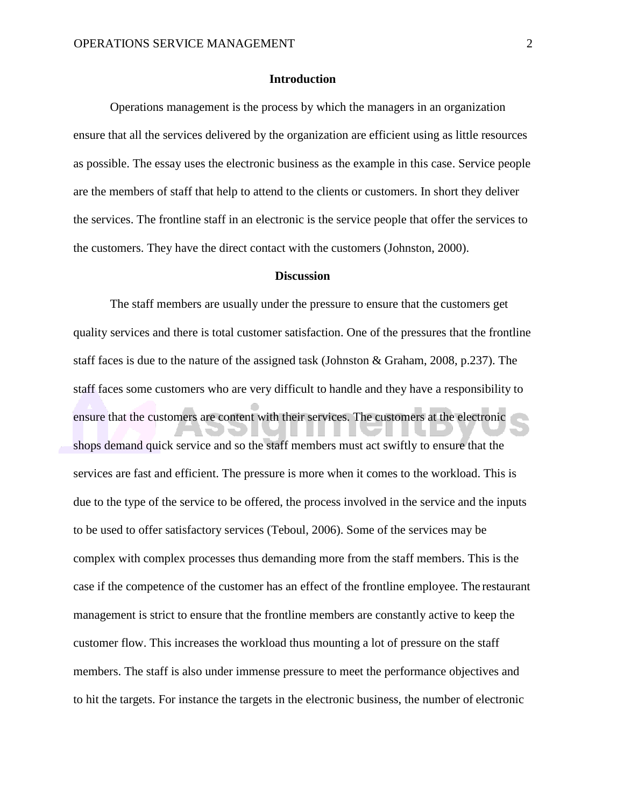## **Introduction**

Operations management is the process by which the managers in an organization ensure that all the services delivered by the organization are efficient using as little resources as possible. The essay uses the electronic business as the example in this case. Service people are the members of staff that help to attend to the clients or customers. In short they deliver the services. The frontline staff in an electronic is the service people that offer the services to the customers. They have the direct contact with the customers (Johnston, 2000).

## **Discussion**

The staff members are usually under the pressure to ensure that the customers get quality services and there is total customer satisfaction. One of the pressures that the frontline staff faces is due to the nature of the assigned task (Johnston & Graham, 2008, p.237). The staff faces some customers who are very difficult to handle and they have a responsibility to ensure that the customers are content with their services. The customers at the electronic shops demand quick service and so the staff members must act swiftly to ensure that the services are fast and efficient. The pressure is more when it comes to the workload. This is due to the type of the service to be offered, the process involved in the service and the inputs to be used to offer satisfactory services (Teboul, 2006). Some of the services may be complex with complex processes thus demanding more from the staff members. This is the case if the competence of the customer has an effect of the frontline employee. The restaurant management is strict to ensure that the frontline members are constantly active to keep the customer flow. This increases the workload thus mounting a lot of pressure on the staff members. The staff is also under immense pressure to meet the performance objectives and to hit the targets. For instance the targets in the electronic business, the number of electronic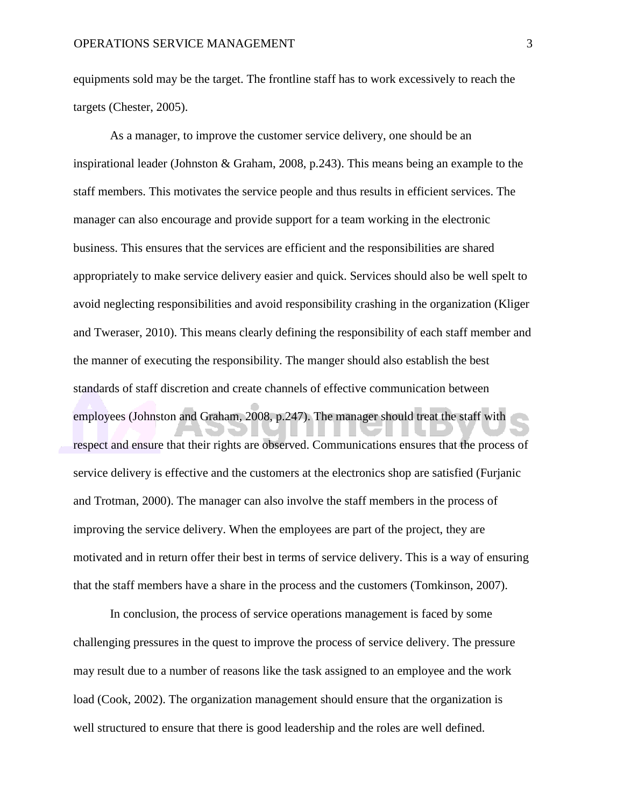equipments sold may be the target. The frontline staff has to work excessively to reach the targets (Chester, 2005).

As a manager, to improve the customer service delivery, one should be an inspirational leader (Johnston & Graham, 2008, p.243). This means being an example to the staff members. This motivates the service people and thus results in efficient services. The manager can also encourage and provide support for a team working in the electronic business. This ensures that the services are efficient and the responsibilities are shared appropriately to make service delivery easier and quick. Services should also be well spelt to avoid neglecting responsibilities and avoid responsibility crashing in the organization (Kliger and Tweraser, 2010). This means clearly defining the responsibility of each staff member and the manner of executing the responsibility. The manger should also establish the best standards of staff discretion and create channels of effective communication between employees (Johnston and Graham, 2008, p.247). The manager should treat the staff with respect and ensure that their rights are observed. Communications ensures that the process of service delivery is effective and the customers at the electronics shop are satisfied (Furjanic and Trotman, 2000). The manager can also involve the staff members in the process of improving the service delivery. When the employees are part of the project, they are motivated and in return offer their best in terms of service delivery. This is a way of ensuring that the staff members have a share in the process and the customers (Tomkinson, 2007).

In conclusion, the process of service operations management is faced by some challenging pressures in the quest to improve the process of service delivery. The pressure may result due to a number of reasons like the task assigned to an employee and the work load (Cook, 2002). The organization management should ensure that the organization is well structured to ensure that there is good leadership and the roles are well defined.